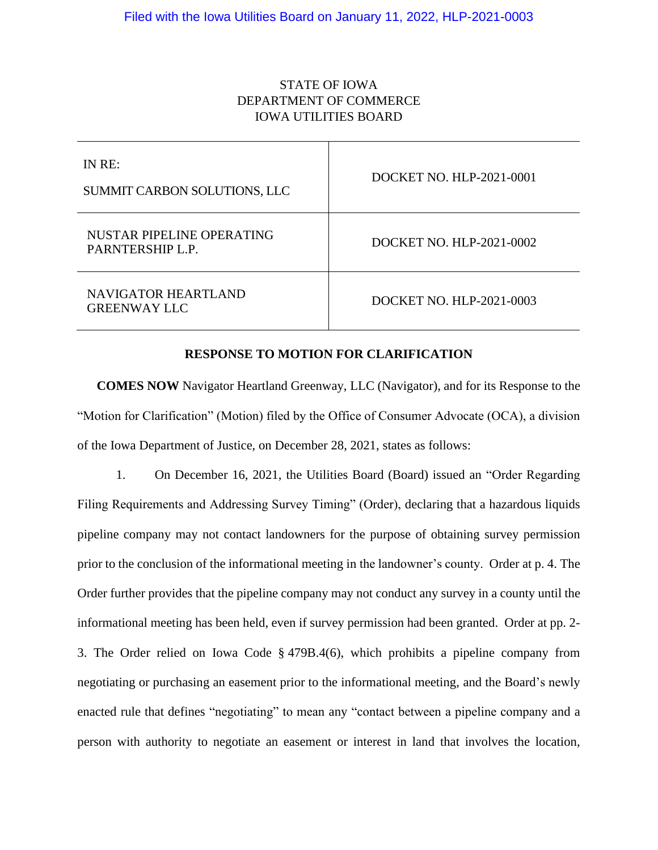# STATE OF IOWA DEPARTMENT OF COMMERCE IOWA UTILITIES BOARD

| IN RE:<br>SUMMIT CARBON SOLUTIONS, LLC        | DOCKET NO. HLP-2021-0001 |
|-----------------------------------------------|--------------------------|
| NUSTAR PIPELINE OPERATING<br>PARNTERSHIP L.P. | DOCKET NO. HLP-2021-0002 |
| NAVIGATOR HEARTLAND<br><b>GREENWAY LLC</b>    | DOCKET NO. HLP-2021-0003 |

### **RESPONSE TO MOTION FOR CLARIFICATION**

**COMES NOW** Navigator Heartland Greenway, LLC (Navigator), and for its Response to the "Motion for Clarification" (Motion) filed by the Office of Consumer Advocate (OCA), a division of the Iowa Department of Justice, on December 28, 2021, states as follows:

1. On December 16, 2021, the Utilities Board (Board) issued an "Order Regarding Filing Requirements and Addressing Survey Timing" (Order), declaring that a hazardous liquids pipeline company may not contact landowners for the purpose of obtaining survey permission prior to the conclusion of the informational meeting in the landowner's county. Order at p. 4. The Order further provides that the pipeline company may not conduct any survey in a county until the informational meeting has been held, even if survey permission had been granted. Order at pp. 2- 3. The Order relied on Iowa Code § 479B.4(6), which prohibits a pipeline company from negotiating or purchasing an easement prior to the informational meeting, and the Board's newly enacted rule that defines "negotiating" to mean any "contact between a pipeline company and a person with authority to negotiate an easement or interest in land that involves the location,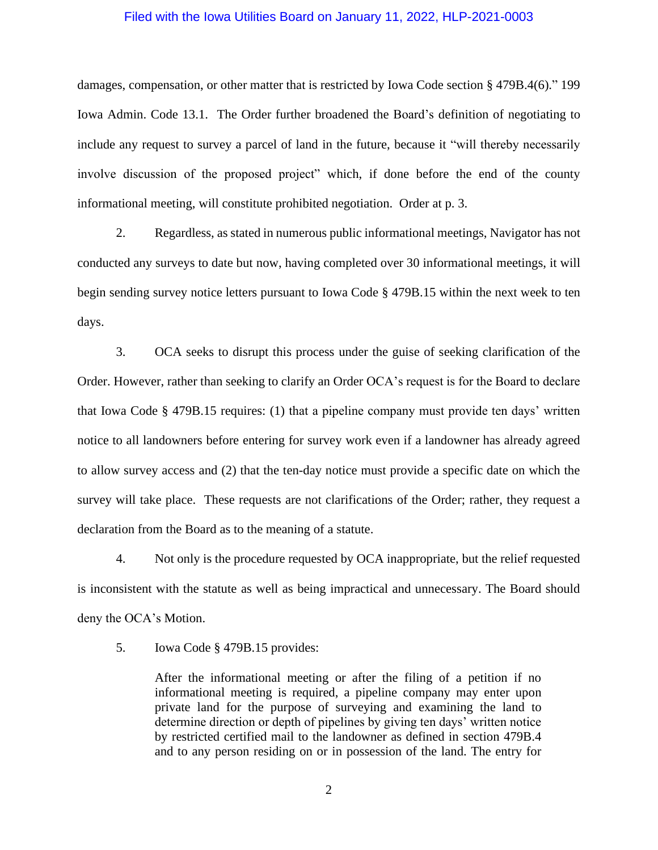damages, compensation, or other matter that is restricted by Iowa Code section § 479B.4(6)." 199 Iowa Admin. Code 13.1. The Order further broadened the Board's definition of negotiating to include any request to survey a parcel of land in the future, because it "will thereby necessarily involve discussion of the proposed project" which, if done before the end of the county informational meeting, will constitute prohibited negotiation. Order at p. 3.

2. Regardless, as stated in numerous public informational meetings, Navigator has not conducted any surveys to date but now, having completed over 30 informational meetings, it will begin sending survey notice letters pursuant to Iowa Code § 479B.15 within the next week to ten days.

3. OCA seeks to disrupt this process under the guise of seeking clarification of the Order. However, rather than seeking to clarify an Order OCA's request is for the Board to declare that Iowa Code § 479B.15 requires: (1) that a pipeline company must provide ten days' written notice to all landowners before entering for survey work even if a landowner has already agreed to allow survey access and (2) that the ten-day notice must provide a specific date on which the survey will take place. These requests are not clarifications of the Order; rather, they request a declaration from the Board as to the meaning of a statute.

4. Not only is the procedure requested by OCA inappropriate, but the relief requested is inconsistent with the statute as well as being impractical and unnecessary. The Board should deny the OCA's Motion.

5. Iowa Code § 479B.15 provides:

After the informational meeting or after the filing of a petition if no informational meeting is required, a pipeline company may enter upon private land for the purpose of surveying and examining the land to determine direction or depth of pipelines by giving ten days' written notice by restricted certified mail to the landowner as defined in section 479B.4 and to any person residing on or in possession of the land. The entry for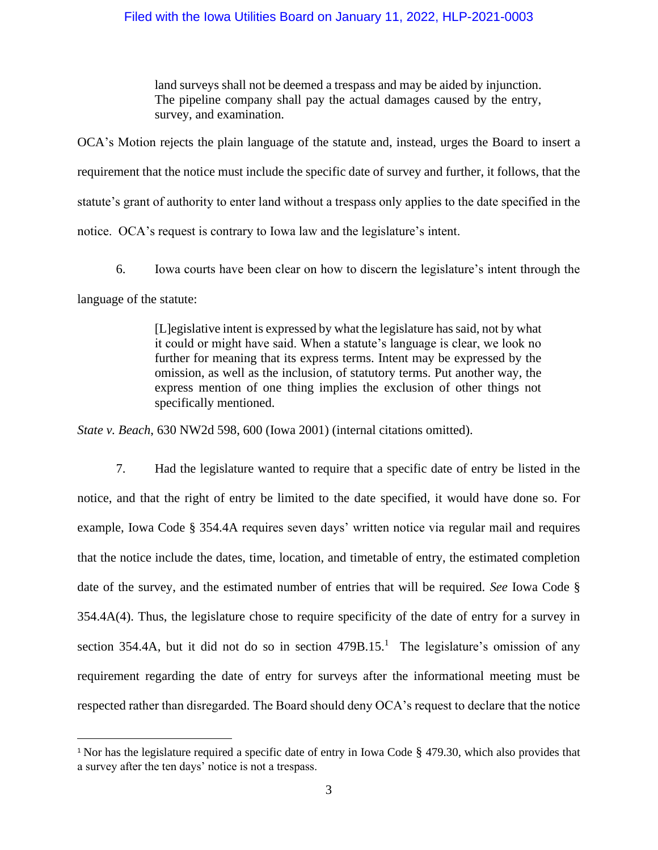land surveys shall not be deemed a trespass and may be aided by injunction. The pipeline company shall pay the actual damages caused by the entry, survey, and examination.

OCA's Motion rejects the plain language of the statute and, instead, urges the Board to insert a requirement that the notice must include the specific date of survey and further, it follows, that the statute's grant of authority to enter land without a trespass only applies to the date specified in the notice. OCA's request is contrary to Iowa law and the legislature's intent.

6. Iowa courts have been clear on how to discern the legislature's intent through the language of the statute:

> [L]egislative intent is expressed by what the legislature has said, not by what it could or might have said. When a statute's language is clear, we look no further for meaning that its express terms. Intent may be expressed by the omission, as well as the inclusion, of statutory terms. Put another way, the express mention of one thing implies the exclusion of other things not specifically mentioned.

*State v. Beach*, 630 NW2d 598, 600 (Iowa 2001) (internal citations omitted).

7. Had the legislature wanted to require that a specific date of entry be listed in the notice, and that the right of entry be limited to the date specified, it would have done so. For example, Iowa Code § 354.4A requires seven days' written notice via regular mail and requires that the notice include the dates, time, location, and timetable of entry, the estimated completion date of the survey, and the estimated number of entries that will be required. *See* Iowa Code § 354.4A(4). Thus, the legislature chose to require specificity of the date of entry for a survey in section 354.4A, but it did not do so in section  $479B.15<sup>1</sup>$ . The legislature's omission of any requirement regarding the date of entry for surveys after the informational meeting must be respected rather than disregarded. The Board should deny OCA's request to declare that the notice

<sup>&</sup>lt;sup>1</sup> Nor has the legislature required a specific date of entry in Iowa Code § 479.30, which also provides that a survey after the ten days' notice is not a trespass.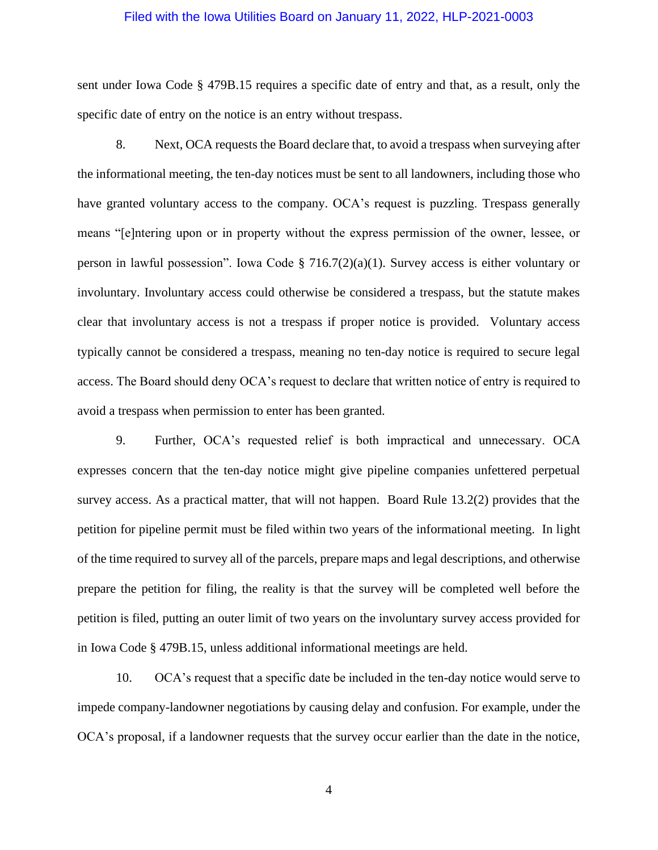sent under Iowa Code § 479B.15 requires a specific date of entry and that, as a result, only the specific date of entry on the notice is an entry without trespass.

8. Next, OCA requests the Board declare that, to avoid a trespass when surveying after the informational meeting, the ten-day notices must be sent to all landowners, including those who have granted voluntary access to the company. OCA's request is puzzling. Trespass generally means "[e]ntering upon or in property without the express permission of the owner, lessee, or person in lawful possession". Iowa Code § 716.7(2)(a)(1). Survey access is either voluntary or involuntary. Involuntary access could otherwise be considered a trespass, but the statute makes clear that involuntary access is not a trespass if proper notice is provided. Voluntary access typically cannot be considered a trespass, meaning no ten-day notice is required to secure legal access. The Board should deny OCA's request to declare that written notice of entry is required to avoid a trespass when permission to enter has been granted.

9. Further, OCA's requested relief is both impractical and unnecessary. OCA expresses concern that the ten-day notice might give pipeline companies unfettered perpetual survey access. As a practical matter, that will not happen. Board Rule 13.2(2) provides that the petition for pipeline permit must be filed within two years of the informational meeting. In light of the time required to survey all of the parcels, prepare maps and legal descriptions, and otherwise prepare the petition for filing, the reality is that the survey will be completed well before the petition is filed, putting an outer limit of two years on the involuntary survey access provided for in Iowa Code § 479B.15, unless additional informational meetings are held.

10. OCA's request that a specific date be included in the ten-day notice would serve to impede company-landowner negotiations by causing delay and confusion. For example, under the OCA's proposal, if a landowner requests that the survey occur earlier than the date in the notice,

4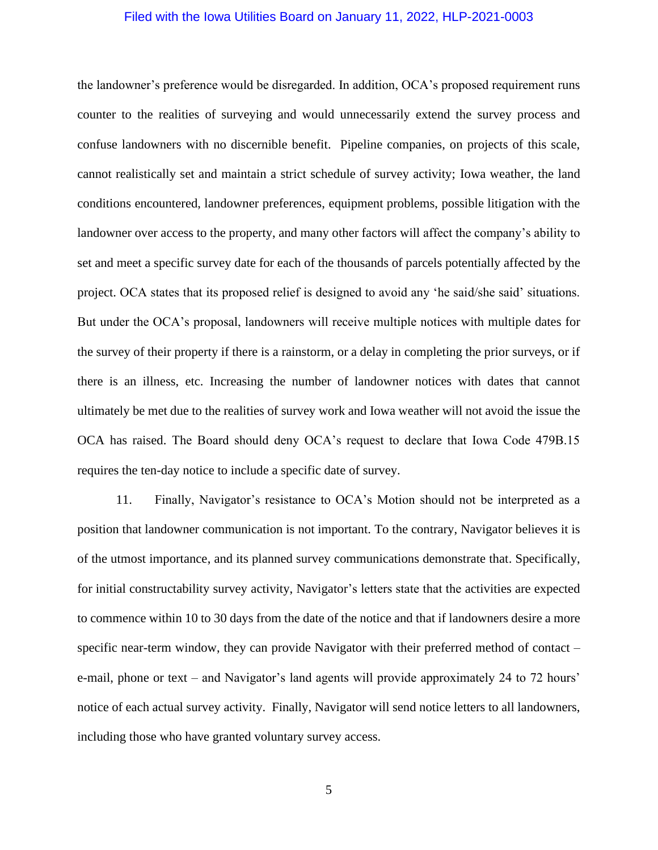the landowner's preference would be disregarded. In addition, OCA's proposed requirement runs counter to the realities of surveying and would unnecessarily extend the survey process and confuse landowners with no discernible benefit. Pipeline companies, on projects of this scale, cannot realistically set and maintain a strict schedule of survey activity; Iowa weather, the land conditions encountered, landowner preferences, equipment problems, possible litigation with the landowner over access to the property, and many other factors will affect the company's ability to set and meet a specific survey date for each of the thousands of parcels potentially affected by the project. OCA states that its proposed relief is designed to avoid any 'he said/she said' situations. But under the OCA's proposal, landowners will receive multiple notices with multiple dates for the survey of their property if there is a rainstorm, or a delay in completing the prior surveys, or if there is an illness, etc. Increasing the number of landowner notices with dates that cannot ultimately be met due to the realities of survey work and Iowa weather will not avoid the issue the OCA has raised. The Board should deny OCA's request to declare that Iowa Code 479B.15 requires the ten-day notice to include a specific date of survey.

11. Finally, Navigator's resistance to OCA's Motion should not be interpreted as a position that landowner communication is not important. To the contrary, Navigator believes it is of the utmost importance, and its planned survey communications demonstrate that. Specifically, for initial constructability survey activity, Navigator's letters state that the activities are expected to commence within 10 to 30 days from the date of the notice and that if landowners desire a more specific near-term window, they can provide Navigator with their preferred method of contact – e-mail, phone or text – and Navigator's land agents will provide approximately 24 to 72 hours' notice of each actual survey activity. Finally, Navigator will send notice letters to all landowners, including those who have granted voluntary survey access.